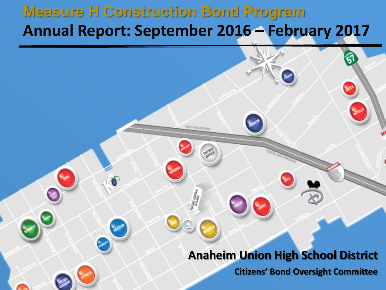### **Measure H Construction Bond Program Annual Report: September 2016 – February 2017**

### **Anaheim Union High School District**

**Citizens' Bond Oversight Committee**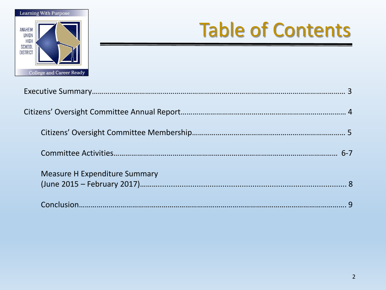

# Table of Contents

| <b>Measure H Expenditure Summary</b> |  |
|--------------------------------------|--|
|                                      |  |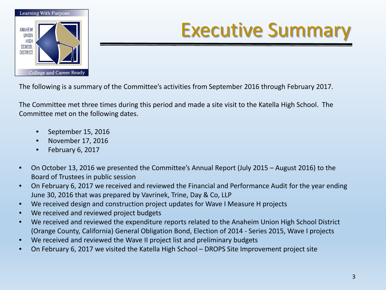

# Executive Summary

The following is a summary of the Committee's activities from September 2016 through February 2017.

The Committee met three times during this period and made a site visit to the Katella High School. The Committee met on the following dates.

- September 15, 2016
- November 17, 2016
- February 6, 2017
- On October 13, 2016 we presented the Committee's Annual Report (July 2015 August 2016) to the Board of Trustees in public session
- On February 6, 2017 we received and reviewed the Financial and Performance Audit for the year ending June 30, 2016 that was prepared by Vavrinek, Trine, Day & Co, LLP
- We received design and construction project updates for Wave I Measure H projects
- We received and reviewed project budgets
- We received and reviewed the expenditure reports related to the Anaheim Union High School District (Orange County, California) General Obligation Bond, Election of 2014 - Series 2015, Wave I projects
- We received and reviewed the Wave II project list and preliminary budgets
- On February 6, 2017 we visited the Katella High School DROPS Site Improvement project site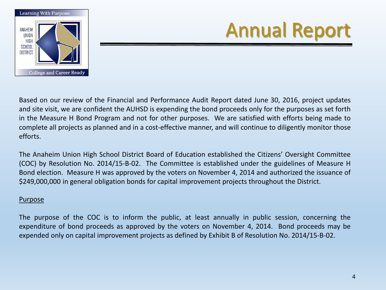

Based on our review of the Financial and Performance Audit Report dated June 30, 2016, project updates and site visit, we are confident the AUHSD is expending the bond proceeds only for the purposes as set forth in the Measure H Bond Program and not for other purposes. We are satisfied with efforts being made to complete all projects as planned and in a cost-effective manner, and will continue to diligently monitor those efforts.

The Anaheim Union High School District Board of Education established the Citizens' Oversight Committee (COC) by Resolution No. 2014/15-B-02. The Committee is established under the guidelines of Measure H Bond election. Measure H was approved by the voters on November 4, 2014 and authorized the issuance of \$249,000,000 in general obligation bonds for capital improvement projects throughout the District.

#### Purpose

The purpose of the COC is to inform the public, at least annually in public session, concerning the expenditure of bond proceeds as approved by the voters on November 4, 2014. Bond proceeds may be expended only on capital improvement projects as defined by Exhibit B of Resolution No. 2014/15-B-02.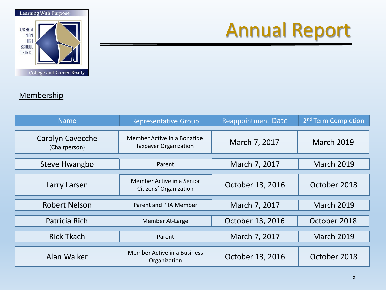

#### **Membership**

| Name                                     | <b>Representative Group</b>                                 | <b>Reappointment Date</b> | 2 <sup>nd</sup> Term Completion |
|------------------------------------------|-------------------------------------------------------------|---------------------------|---------------------------------|
| <b>Carolyn Cavecche</b><br>(Chairperson) | Member Active in a Bonafide<br><b>Taxpayer Organization</b> | March 7, 2017             | <b>March 2019</b>               |
| Steve Hwangbo                            | Parent                                                      | March 7, 2017             | <b>March 2019</b>               |
| Larry Larsen                             | Member Active in a Senior<br>Citizens' Organization         | October 13, 2016          | October 2018                    |
| <b>Robert Nelson</b>                     | Parent and PTA Member                                       | March 7, 2017             | <b>March 2019</b>               |
| Patricia Rich                            | Member At-Large                                             | October 13, 2016          | October 2018                    |
| <b>Rick Tkach</b>                        | Parent                                                      | March 7, 2017             | <b>March 2019</b>               |
| Alan Walker                              | Member Active in a Business<br>Organization                 | October 13, 2016          | October 2018                    |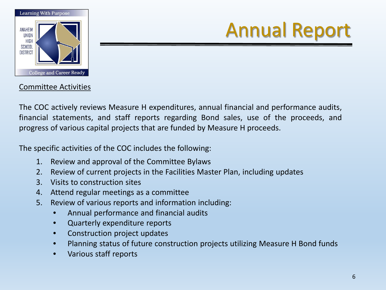

#### Committee Activities

The COC actively reviews Measure H expenditures, annual financial and performance audits, financial statements, and staff reports regarding Bond sales, use of the proceeds, and progress of various capital projects that are funded by Measure H proceeds.

The specific activities of the COC includes the following:

- 1. Review and approval of the Committee Bylaws
- 2. Review of current projects in the Facilities Master Plan, including updates
- 3. Visits to construction sites
- 4. Attend regular meetings as a committee
- 5. Review of various reports and information including:
	- Annual performance and financial audits
	- Quarterly expenditure reports
	- Construction project updates
	- Planning status of future construction projects utilizing Measure H Bond funds
	- Various staff reports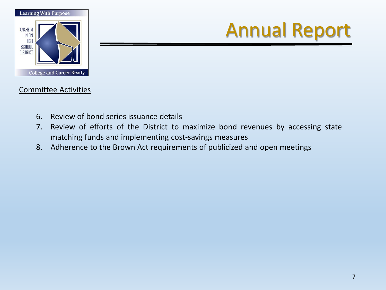

#### Committee Activities

- 6. Review of bond series issuance details
- 7. Review of efforts of the District to maximize bond revenues by accessing state matching funds and implementing cost-savings measures
- 8. Adherence to the Brown Act requirements of publicized and open meetings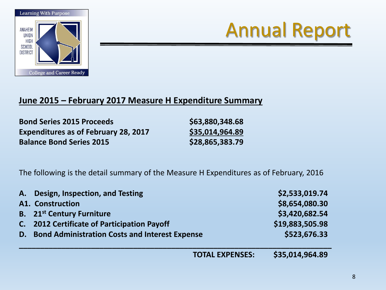



#### **June 2015 – February 2017 Measure H Expenditure Summary**

**Bond Series 2015 Proceeds \$63,880,348.68 Expenditures as of February 28, 2017 \$35,014,964.89 Balance Bond Series 2015 \$28,865,383.79**

The following is the detail summary of the Measure H Expenditures as of February, 2016

|    | A. Design, Inspection, and Testing                    | \$2,533,019.74  |
|----|-------------------------------------------------------|-----------------|
|    | <b>A1. Construction</b>                               | \$8,654,080.30  |
|    | <b>B.</b> 21 <sup>st</sup> Century Furniture          | \$3,420,682.54  |
| C. | <b>2012 Certificate of Participation Payoff</b>       | \$19,883,505.98 |
| D. | <b>Bond Administration Costs and Interest Expense</b> | \$523,676.33    |
|    | <b>TOTAL EXPENSES:</b>                                | \$35,014,964.89 |